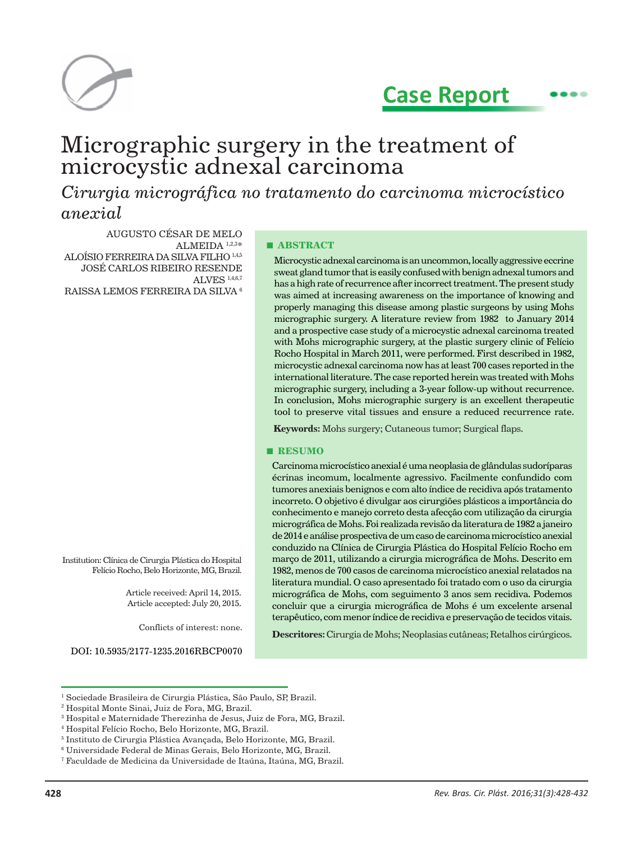

# **Case Report**

## Micrographic surgery in the treatment of microcystic adnexal carcinoma

*Cirurgia micrográfica no tratamento do carcinoma microcístico anexial*

AUGUSTO CÉSAR DE MELO ALMEIDA 1,2,3\* ALOÍSIO FERREIRA DA SILVA FILHO 1,4,5 JOSÉ CARLOS RIBEIRO RESENDE ALVES 1,4,6,7 RAISSA LEMOS FERREIRA DA SILVA 6

Institution: Clínica de Cirurgia Plástica do Hospital Felício Rocho, Belo Horizonte, MG, Brazil.

> Article received: April 14, 2015. Article accepted: July 20, 2015.

> > Conflicts of interest: none.

DOI: 10.5935/2177-1235.2016RBCP0070

#### **■ ABSTRACT**

Microcystic adnexal carcinoma is an uncommon, locally aggressive eccrine sweat gland tumor that is easily confused with benign adnexal tumors and has a high rate of recurrence after incorrect treatment. The present study was aimed at increasing awareness on the importance of knowing and properly managing this disease among plastic surgeons by using Mohs micrographic surgery. A literature review from 1982 to January 2014 and a prospective case study of a microcystic adnexal carcinoma treated with Mohs micrographic surgery, at the plastic surgery clinic of Felício Rocho Hospital in March 2011, were performed. First described in 1982, microcystic adnexal carcinoma now has at least 700 cases reported in the international literature. The case reported herein was treated with Mohs micrographic surgery, including a 3-year follow-up without recurrence. In conclusion, Mohs micrographic surgery is an excellent therapeutic tool to preserve vital tissues and ensure a reduced recurrence rate.

**Keywords:** Mohs surgery; Cutaneous tumor; Surgical flaps.

#### **■ RESUMO**

Carcinoma microcístico anexial é uma neoplasia de glândulas sudoríparas écrinas incomum, localmente agressivo. Facilmente confundido com tumores anexiais benignos e com alto índice de recidiva após tratamento incorreto. O objetivo é divulgar aos cirurgiões plásticos a importância do conhecimento e manejo correto desta afecção com utilização da cirurgia micrográfica de Mohs.Foi realizada revisão da literatura de 1982 a janeiro de 2014 e análise prospectiva de um caso de carcinoma microcístico anexial conduzido na Clínica de Cirurgia Plástica do Hospital Felício Rocho em março de 2011, utilizando a cirurgia micrográfica de Mohs. Descrito em 1982, menos de 700 casos de carcinoma microcístico anexial relatados na literatura mundial. O caso apresentado foi tratado com o uso da cirurgia micrográfica de Mohs, com seguimento 3 anos sem recidiva. Podemos concluir que a cirurgia micrográfica de Mohs é um excelente arsenal terapêutico, com menor índice de recidiva e preservação de tecidos vitais.

**Descritores:** Cirurgia de Mohs; Neoplasias cutâneas; Retalhos cirúrgicos.

<sup>&</sup>lt;sup>1</sup> Sociedade Brasileira de Cirurgia Plástica, São Paulo, SP, Brazil.

<sup>2</sup> Hospital Monte Sinai, Juiz de Fora, MG, Brazil.

 $^{\rm 3}$  Hospital e Maternidade Therezinha de Jesus, Juiz de Fora, MG, Brazil.

<sup>4</sup> Hospital Felício Rocho, Belo Horizonte, MG, Brazil.

<sup>5</sup> Instituto de Cirurgia Plástica Avançada, Belo Horizonte, MG, Brazil.

<sup>6</sup> Universidade Federal de Minas Gerais, Belo Horizonte, MG, Brazil.

<sup>7</sup> Faculdade de Medicina da Universidade de Itaúna, Itaúna, MG, Brazil.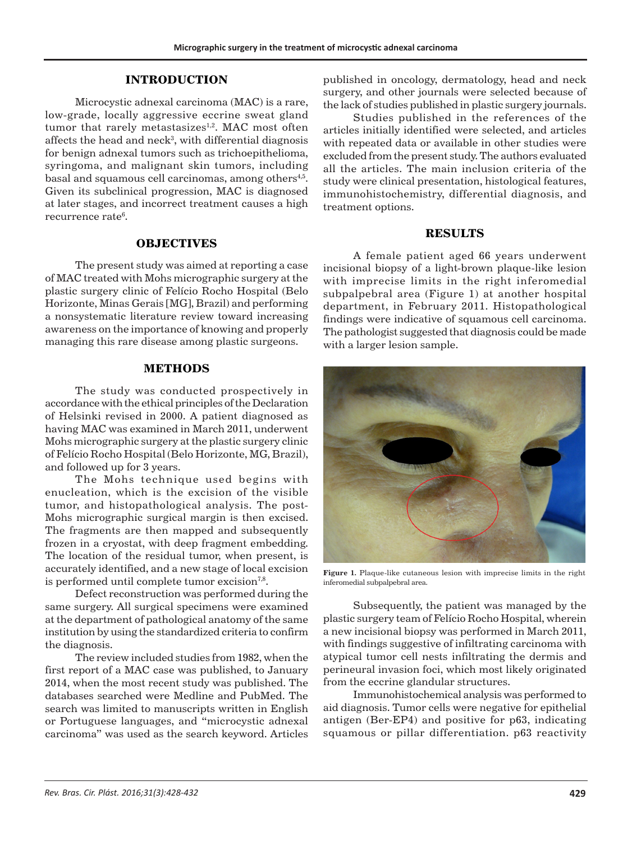## **INTRODUCTION**

Microcystic adnexal carcinoma (MAC) is a rare, low-grade, locally aggressive eccrine sweat gland tumor that rarely metastasizes<sup>1,2</sup>. MAC most often affects the head and neck $3$ , with differential diagnosis for benign adnexal tumors such as trichoepithelioma, syringoma, and malignant skin tumors, including basal and squamous cell carcinomas, among others<sup>4,5</sup>. Given its subclinical progression, MAC is diagnosed at later stages, and incorrect treatment causes a high recurrence rate<sup>6</sup>.

## **OBJECTIVES**

The present study was aimed at reporting a case of MAC treated with Mohs micrographic surgery at the plastic surgery clinic of Felício Rocho Hospital (Belo Horizonte, Minas Gerais [MG], Brazil) and performing a nonsystematic literature review toward increasing awareness on the importance of knowing and properly managing this rare disease among plastic surgeons.

#### **METHODS**

The study was conducted prospectively in accordance with the ethical principles of the Declaration of Helsinki revised in 2000. A patient diagnosed as having MAC was examined in March 2011, underwent Mohs micrographic surgery at the plastic surgery clinic of Felício Rocho Hospital (Belo Horizonte, MG, Brazil), and followed up for 3 years.

The Mohs technique used begins with enucleation, which is the excision of the visible tumor, and histopathological analysis. The post-Mohs micrographic surgical margin is then excised. The fragments are then mapped and subsequently frozen in a cryostat, with deep fragment embedding. The location of the residual tumor, when present, is accurately identified, and a new stage of local excision is performed until complete tumor excision<sup>7,8</sup>.

Defect reconstruction was performed during the same surgery. All surgical specimens were examined at the department of pathological anatomy of the same institution by using the standardized criteria to confirm the diagnosis.

The review included studies from 1982, when the first report of a MAC case was published, to January 2014, when the most recent study was published. The databases searched were Medline and PubMed. The search was limited to manuscripts written in English or Portuguese languages, and "microcystic adnexal carcinoma" was used as the search keyword. Articles

published in oncology, dermatology, head and neck surgery, and other journals were selected because of the lack of studies published in plastic surgery journals.

Studies published in the references of the articles initially identified were selected, and articles with repeated data or available in other studies were excluded from the present study. The authors evaluated all the articles. The main inclusion criteria of the study were clinical presentation, histological features, immunohistochemistry, differential diagnosis, and treatment options.

## **RESULTS**

A female patient aged 66 years underwent incisional biopsy of a light-brown plaque-like lesion with imprecise limits in the right inferomedial subpalpebral area (Figure 1) at another hospital department, in February 2011. Histopathological findings were indicative of squamous cell carcinoma. The pathologist suggested that diagnosis could be made with a larger lesion sample.



**Figure 1.** Plaque-like cutaneous lesion with imprecise limits in the right inferomedial subpalpebral area.

Subsequently, the patient was managed by the plastic surgery team of Felício Rocho Hospital, wherein a new incisional biopsy was performed in March 2011, with findings suggestive of infiltrating carcinoma with atypical tumor cell nests infiltrating the dermis and perineural invasion foci, which most likely originated from the eccrine glandular structures.

Immunohistochemical analysis was performed to aid diagnosis. Tumor cells were negative for epithelial antigen (Ber-EP4) and positive for p63, indicating squamous or pillar differentiation. p63 reactivity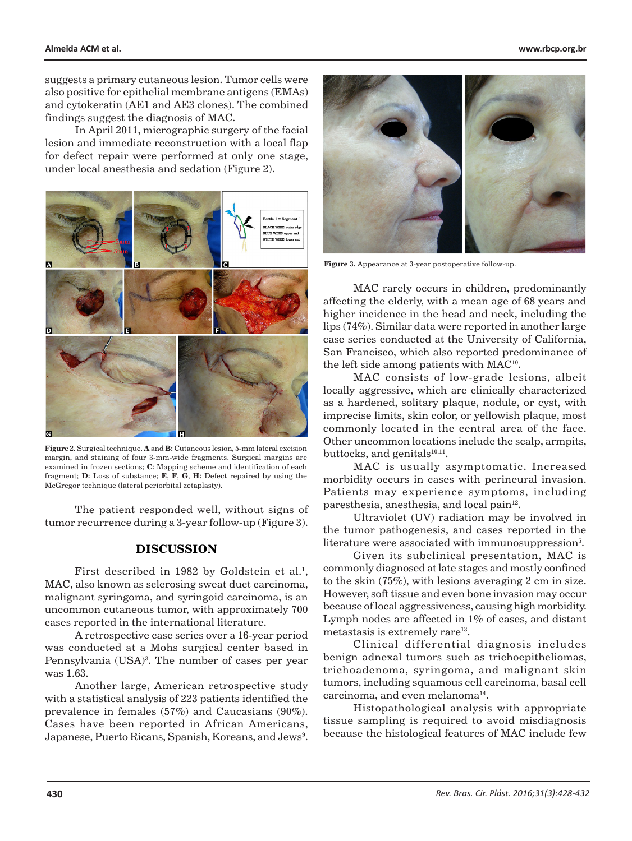suggests a primary cutaneous lesion. Tumor cells were also positive for epithelial membrane antigens (EMAs) and cytokeratin (AE1 and AE3 clones). The combined findings suggest the diagnosis of MAC.

In April 2011, micrographic surgery of the facial lesion and immediate reconstruction with a local flap for defect repair were performed at only one stage, under local anesthesia and sedation (Figure 2).



**Figure 2.** Surgical technique. **A** and **B:** Cutaneous lesion, 5-mm lateral excision margin, and staining of four 3-mm-wide fragments. Surgical margins are examined in frozen sections; **C:** Mapping scheme and identification of each fragment; **D:** Loss of substance; **E**, **F**, **G**, **H:** Defect repaired by using the McGregor technique (lateral periorbital zetaplasty).

The patient responded well, without signs of tumor recurrence during a 3-year follow-up (Figure 3).

#### **DISCUSSION**

First described in 1982 by Goldstein et al.<sup>1</sup>, MAC, also known as sclerosing sweat duct carcinoma, malignant syringoma, and syringoid carcinoma, is an uncommon cutaneous tumor, with approximately 700 cases reported in the international literature.

A retrospective case series over a 16-year period was conducted at a Mohs surgical center based in Pennsylvania (USA)<sup>3</sup>. The number of cases per year was 1.63.

Another large, American retrospective study with a statistical analysis of 223 patients identified the prevalence in females (57%) and Caucasians (90%). Cases have been reported in African Americans,  $\rm{Japanes}$ e, Puerto Ricans, Spanish, Koreans, and Jews $^9$ .



**Figure 3.** Appearance at 3-year postoperative follow-up.

MAC rarely occurs in children, predominantly affecting the elderly, with a mean age of 68 years and higher incidence in the head and neck, including the lips (74%). Similar data were reported in another large case series conducted at the University of California, San Francisco, which also reported predominance of the left side among patients with MAC<sup>10</sup>.

MAC consists of low-grade lesions, albeit locally aggressive, which are clinically characterized as a hardened, solitary plaque, nodule, or cyst, with imprecise limits, skin color, or yellowish plaque, most commonly located in the central area of the face. Other uncommon locations include the scalp, armpits, buttocks, and genitals $10,11$ .

MAC is usually asymptomatic. Increased morbidity occurs in cases with perineural invasion. Patients may experience symptoms, including paresthesia, anesthesia, and local pain<sup>12</sup>.

Ultraviolet (UV) radiation may be involved in the tumor pathogenesis, and cases reported in the literature were associated with immunosuppression<sup>5</sup>.

Given its subclinical presentation, MAC is commonly diagnosed at late stages and mostly confined to the skin (75%), with lesions averaging 2 cm in size. However, soft tissue and even bone invasion may occur because of local aggressiveness, causing high morbidity. Lymph nodes are affected in 1% of cases, and distant metastasis is extremely rare<sup>13</sup>.

Clinical differential diagnosis includes benign adnexal tumors such as trichoepitheliomas, trichoadenoma, syringoma, and malignant skin tumors, including squamous cell carcinoma, basal cell carcinoma, and even melanoma14.

Histopathological analysis with appropriate tissue sampling is required to avoid misdiagnosis because the histological features of MAC include few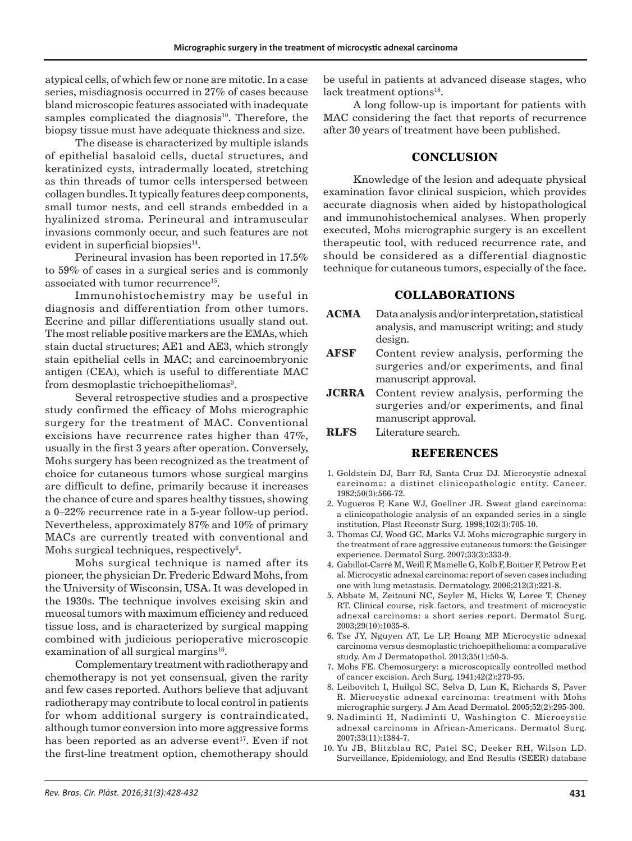atypical cells, of which few or none are mitotic. In a case series, misdiagnosis occurred in 27% of cases because bland microscopic features associated with inadequate samples complicated the diagnosis<sup>10</sup>. Therefore, the biopsy tissue must have adequate thickness and size.

The disease is characterized by multiple islands of epithelial basaloid cells, ductal structures, and keratinized cysts, intradermally located, stretching as thin threads of tumor cells interspersed between collagen bundles. It typically features deep components, small tumor nests, and cell strands embedded in a hyalinized stroma. Perineural and intramuscular invasions commonly occur, and such features are not evident in superficial biopsies $^{14}$ .

Perineural invasion has been reported in 17.5% to 59% of cases in a surgical series and is commonly associated with tumor recurrence<sup>15</sup>.

Immunohistochemistry may be useful in diagnosis and differentiation from other tumors. Eccrine and pillar differentiations usually stand out. The most reliable positive markers are the EMAs, which stain ductal structures; AE1 and AE3, which strongly stain epithelial cells in MAC; and carcinoembryonic antigen (CEA), which is useful to differentiate MAC from desmoplastic trichoepitheliomas<sup>3</sup>.

Several retrospective studies and a prospective study confirmed the efficacy of Mohs micrographic surgery for the treatment of MAC. Conventional excisions have recurrence rates higher than 47%, usually in the first 3 years after operation. Conversely, Mohs surgery has been recognized as the treatment of choice for cutaneous tumors whose surgical margins are difficult to define, primarily because it increases the chance of cure and spares healthy tissues, showing a 0–22% recurrence rate in a 5-year follow-up period. Nevertheless, approximately 87% and 10% of primary MACs are currently treated with conventional and Mohs surgical techniques, respectively<sup>6</sup>.

Mohs surgical technique is named after its pioneer, the physician Dr. Frederic Edward Mohs, from the University of Wisconsin, USA. It was developed in the 1930s. The technique involves excising skin and mucosal tumors with maximum efficiency and reduced tissue loss, and is characterized by surgical mapping combined with judicious perioperative microscopic examination of all surgical margins $16$ .

Complementary treatment with radiotherapy and chemotherapy is not yet consensual, given the rarity and few cases reported. Authors believe that adjuvant radiotherapy may contribute to local control in patients for whom additional surgery is contraindicated, although tumor conversion into more aggressive forms has been reported as an adverse event<sup>17</sup>. Even if not the first-line treatment option, chemotherapy should

be useful in patients at advanced disease stages, who lack treatment options<sup>18</sup>.

A long follow-up is important for patients with MAC considering the fact that reports of recurrence after 30 years of treatment have been published.

## **CONCLUSION**

Knowledge of the lesion and adequate physical examination favor clinical suspicion, which provides accurate diagnosis when aided by histopathological and immunohistochemical analyses. When properly executed, Mohs micrographic surgery is an excellent therapeutic tool, with reduced recurrence rate, and should be considered as a differential diagnostic technique for cutaneous tumors, especially of the face.

## **COLLABORATIONS**

- **ACMA** Data analysis and/or interpretation, statistical analysis, and manuscript writing; and study design.
- **AFSF** Content review analysis, performing the surgeries and/or experiments, and final manuscript approval.
- **JCRRA** Content review analysis, performing the surgeries and/or experiments, and final manuscript approval.

**RLFS** Literature search.

#### **REFERENCES**

- 1. Goldstein DJ, Barr RJ, Santa Cruz DJ. Microcystic adnexal carcinoma: a distinct clinicopathologic entity. Cancer. 1982;50(3):566-72.
- 2. Yugueros P, Kane WJ, Goellner JR. Sweat gland carcinoma: a clinicopathologic analysis of an expanded series in a single institution. Plast Reconstr Surg. 1998;102(3):705-10.
- 3. Thomas CJ, Wood GC, Marks VJ. Mohs micrographic surgery in the treatment of rare aggressive cutaneous tumors: the Geisinger experience. Dermatol Surg. 2007;33(3):333-9.
- 4. Gabillot-Carré M, Weill F, Mamelle G, Kolb F, Boitier F, Petrow P, et al. Microcystic adnexal carcinoma: report of seven cases including one with lung metastasis. Dermatology. 2006;212(3):221-8.
- 5. Abbate M, Zeitouni NC, Seyler M, Hicks W, Loree T, Cheney RT. Clinical course, risk factors, and treatment of microcystic adnexal carcinoma: a short series report. Dermatol Surg. 2003;29(10):1035-8.
- 6. Tse JY, Nguyen AT, Le LP, Hoang MP. Microcystic adnexal carcinoma versus desmoplastic trichoepithelioma: a comparative study. Am J Dermatopathol. 2013;35(1):50-5.
- 7. Mohs FE. Chemosurgery: a microscopically controlled method of cancer excision. Arch Surg. 1941;42(2):279-95.
- 8. Leibovitch I, Huilgol SC, Selva D, Lun K, Richards S, Paver R. Microcystic adnexal carcinoma: treatment with Mohs micrographic surgery. J Am Acad Dermatol. 2005;52(2):295-300.
- 9. Nadiminti H, Nadiminti U, Washington C. Microcystic adnexal carcinoma in African-Americans. Dermatol Surg. 2007;33(11):1384-7.
- 10. Yu JB, Blitzblau RC, Patel SC, Decker RH, Wilson LD. Surveillance, Epidemiology, and End Results (SEER) database